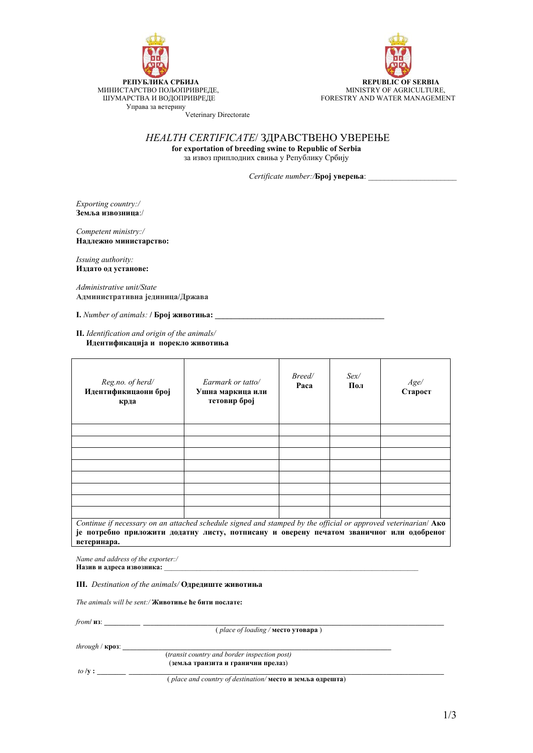



Veterinary Directorate

## *HEALTH CERTIFICATE*/ ЗДРАВСТВЕНО УВЕРЕЊЕ

**for exportation of breeding swine to Republic of Serbia**  за извоз приплодних свиња у Републику Србију

*Certificate number:/***Број уверења**: \_\_\_\_\_\_\_\_\_\_\_\_\_\_\_\_\_\_\_\_\_\_

*Exporting country:/*  **Земља извозница**:/

*Competent ministry:/*  **Надлежно министарство:** 

*Issuing authority:*  **Издато од установе:** 

*Administrative unit/State*  **Административна јединица/Држава**

**I.** *Number of animals:* **/ Број животиња: \_\_\_\_\_\_\_\_\_\_\_\_\_\_\_\_\_\_\_\_\_\_\_\_\_\_\_\_\_\_\_\_\_\_\_\_\_\_\_\_\_\_** 

**II.** *Identification and origin of the animals/* **Идентификација и порекло животиња**

| Reg.no. of herd/<br>Идентификицаони број<br>крда                                                               | Earmark or tatto/<br>Ушна маркица или<br>тетовир број | Breed/<br>Paca | Sex/<br>Пол | Age/<br>Старост |
|----------------------------------------------------------------------------------------------------------------|-------------------------------------------------------|----------------|-------------|-----------------|
|                                                                                                                |                                                       |                |             |                 |
|                                                                                                                |                                                       |                |             |                 |
|                                                                                                                |                                                       |                |             |                 |
|                                                                                                                |                                                       |                |             |                 |
|                                                                                                                |                                                       |                |             |                 |
|                                                                                                                |                                                       |                |             |                 |
|                                                                                                                |                                                       |                |             |                 |
|                                                                                                                |                                                       |                |             |                 |
| Continue if necessary on an attached schedule signed and stamped by the official or approved veterinarian/ AKO |                                                       |                |             |                 |
| је потребно приложити додатну листу, потписану и оверену печатом званичног или одобреног                       |                                                       |                |             |                 |
| ветеринара.                                                                                                    |                                                       |                |             |                 |

*Name and address of the exporter:/*  **Назив и адреса извозника:** \_\_\_\_\_\_\_\_\_\_\_\_\_\_\_\_\_\_\_\_\_\_\_\_\_\_\_\_\_\_\_\_\_\_\_\_\_\_\_\_\_\_\_\_\_\_\_\_\_\_\_\_\_\_\_\_\_\_\_\_\_\_\_\_\_\_\_\_\_\_\_

**III.** *Destination of the animals/* **Одредиште животиња**

*The animals will be sent:/* **Животиње ће бити послате:**

*from***/ из**: **\_\_\_\_\_\_\_\_\_\_ \_\_\_\_\_\_\_\_\_\_\_\_\_\_\_\_\_\_\_\_\_\_\_\_\_\_\_\_\_\_\_\_\_\_\_\_\_\_\_\_\_\_\_\_\_\_\_\_\_\_\_\_\_\_\_\_\_\_\_\_\_\_\_\_\_\_\_\_\_\_\_\_\_\_\_\_\_\_\_\_\_\_\_\_** 

( *place of loading /* **местo утовара** )

*through* / **кроз**: **\_\_\_\_\_\_\_\_\_\_\_\_\_\_\_\_\_\_\_\_\_\_\_\_\_\_\_\_\_\_\_\_\_\_\_\_\_\_\_\_\_\_\_\_\_\_\_\_\_\_\_\_\_\_\_\_\_\_\_\_\_\_\_\_\_\_\_\_\_\_\_\_\_\_\_** 

 (*transit country and border inspection post)* (**земља транзита и гранични прелаз**)

 *to* **/у : \_\_\_\_\_\_\_\_ \_\_\_\_\_\_\_\_\_\_\_\_\_\_\_\_\_\_\_\_\_\_\_\_\_\_\_\_\_\_\_\_\_\_\_\_\_\_\_\_\_\_\_\_\_\_\_\_\_\_\_\_\_\_\_\_\_\_\_\_\_\_\_\_\_\_\_\_\_\_\_\_\_\_\_\_\_\_\_\_\_\_\_\_\_\_\_\_** 

( *place and country of destination/* **место и земља одрешта**)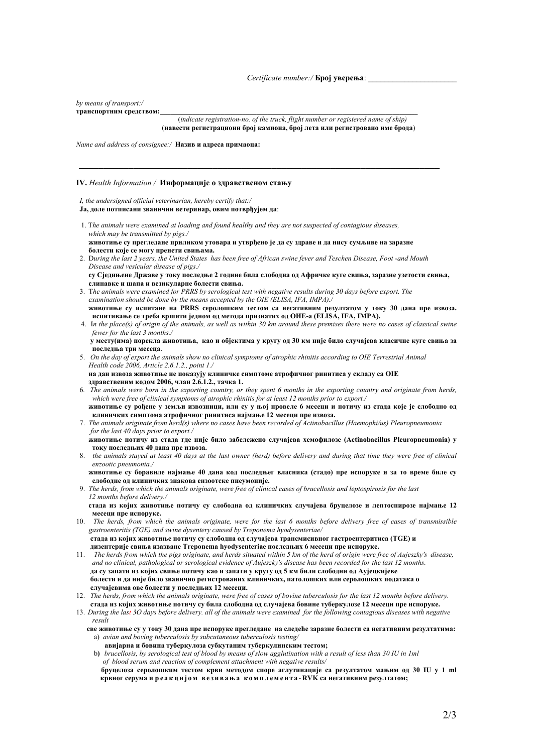*Certificate number:/* **Број уверења**: \_\_\_\_\_\_\_\_\_\_\_\_\_\_\_\_\_\_\_\_\_\_

*by means of transport:/* 

**транспортним средством:\_\_\_\_\_\_\_\_\_\_\_\_\_\_\_\_\_\_\_\_\_\_\_\_\_\_\_\_\_\_\_\_\_\_\_\_\_\_\_\_\_\_\_\_\_\_\_\_\_\_\_\_\_\_\_\_\_\_\_\_\_\_\_\_\_\_\_\_\_\_\_\_**

(*indicate registration-no. of the truck, flight number or registered name of ship)* (**навести регистрациони број камиона, број лета или регистровано име брода**)

*Name and address of consignee:/* **Назив и адреса примаоца:**

## **IV.** *Health Information /* **Информације о здравственом стању**

 *I, the undersigned official veterinarian, hereby certify that:/*   **Ја, доле потписани званични ветеринар, овим потврђујем да**:

- 1. T*he animals were examined at loading and found healthy and they are not suspected of contagious diseases, which may be transmitted by pigs./* 
	- **животиње су прегледане приликом утовара и утврђено је да су здраве и да нису сумљиве на заразне болести које се могу пренети свињама.**
- 2. D*uring the last 2 years, the United States has been free of African swine fever and Teschen Disease, Foot -and Mouth Disease and vesicular disease of pigs./*

**\_\_\_\_\_\_\_\_\_\_\_\_\_\_\_\_\_\_\_\_\_\_\_\_\_\_\_\_\_\_\_\_\_\_\_\_\_\_\_\_\_\_\_\_\_\_\_\_\_\_\_\_\_\_\_\_\_\_\_\_\_\_\_\_\_\_\_\_\_\_\_\_\_**

- су Сједињене Државе у току последње 2 године била слободна од Афричке куге свиња, заразне узетости свиња,  **слинавке и шапа и везикуларне болести свиња.**
- 3. Т*he animals were examined for PRRS by serological test with negative results during 30 days before export. The examination should be done by the means accepted by the OIE (ELISA, IFA, IMPA)./*  животиње су испитане на PRRS серолошким тестом са негативним резултатом у току 30 дана пре извоза.
- **испитивање се треба вршити једном од метода признатих од ОИЕ-а (ELISA, IFA, IMPA).** 4. I*n the place(s) of origin of the animals, as well as within 30 km around these premises there were no cases of classical swine fewer for the last 3 months./*
- у месту(има) порекла животиња, као и објектима у кругу од 30 км није било случајева класичне куге свиња за **последња три месеца**.
- 5. *On the day of export the animals show no clinical symptoms of atrophic rhinitis according to OIE Terrestrial Animal Health code 2006, Article 2.6.1.2., point 1./*
- **на дан извоза животиње не показују клиничке симптоме атрофичног ринитиса у складу са OIE здравственим кодом 2006, члан 2.6.1.2., тачка 1.**
- 6*. Тhe animals were born in the exporting country, or they spent 6 months in the exporting country and originate from herds, which were free of clinical symptoms of atrophic rhinitis for at least 12 months prior to export./* животиње су рођене у земљи извозници, или су у њој провеле 6 месеци и потичу из стада које је слободно од
- **клиничких симптома атрофичног ринитиса најмање 12 месеци пре извоза.** 7.*Тhe animals originate from herd(s) where no cases have been recorded of Actinobacillus (Haemophi/us) Pleuropneumonia*
- *for the last 40 days prior to export./*   **животиње потичу из стада где није било забележено случајева хемофилозе (Actinobacillus Pleuropneumonia) у току последњих 40 дана пре извоза.**
- 8.*the animals stayed at least 40 days at the last owner (herd) before delivery and during that time they were free of clinical enzootic pneumonia./*

животиње су боравиле најмање 40 дана код последњег власника (стадо) пре испоруке и за то време биле су **слободне од клиничких знакова ензоотске пнеумоније.** 

- 9.*Тhe herds, from which the animals originate, were free of clinical cases of brucellosis and leptospirosis for the last 12 months before delivery./* 
	- **стада из којих животиње потичу су слободна од клиничких случајева бруцелозе и лептоспирозе најмање 12 месеци пре испоруке.**
- 10. The herds, from which the animals originate, were for the last 6 months before delivery free of cases of transmissible  *gastroenteritis (TGE) and swine dysentery caused by Treponema hyodysenteriae/*   **стада из којих животиње потичу су слободна од случајева трансмисивног гастроентеритиса (ТGE) и**
- **дизентерије свиња изазване Treponema hyodysenteriae последњих 6 месеци пре испоруке.**  11.*The herds from which the pigs originate, and herds situated within 5 km of the herd of origin were free of Aujeszky's disease, and no clinical, pathological or serological evidence of Aujeszky's disease has been recorded for the last 12 months.*  да су запати из којих свиње потичу као и запати у кругу од 5 км били слободни од Аујецкијеве  **болести и да није било званично регистрованих клиничких, патолошких или серолошких података о случајевима ове болести у последњих 12 месеци.**
- 12. *The herds, from which the animals originate, were free of cases of bovine tuberculosis for the last 12 months before delivery.* стада из којих животиње потичу су била слободна од случајева бовине туберкулозе 12 месеци пре испоруке.
- 13. *During the last 3O days before delivery. all of the animals were examined for the following contagious diseases with negative result* 
	- све животиње су у току 30 дана пре испоруке прегледане на следеће заразне болести са негативним резултатима: a) *avian and boving tuberculosis by subcutaneous tuberculosis testing/*  **авијарна и бовина туберкулоза субкутаним туберкулинским тестом;** 
		- b**)** *brucellosis, by serological test of blood by means of slow agglutination with a result of less than 30 IU in 1ml of blood serum and reaction of complement attachment with negative results/*

**бруцелоза серолошким тестом крви методом споре аглутинације са резултатом мањим од 30 IU у 1 ml крвног серума и реакцијом везивања комплемента** - **RVK са негативним резултатом;**